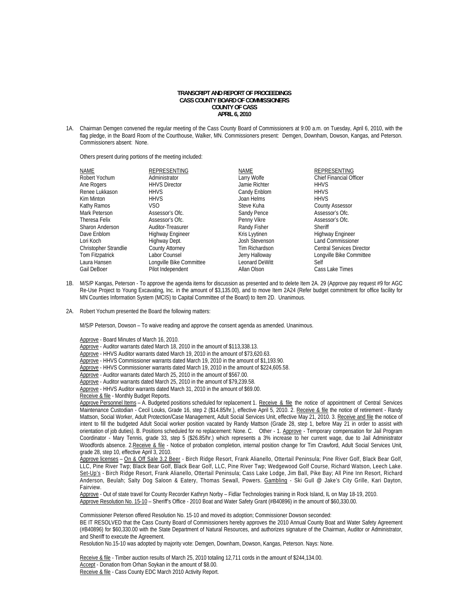## **TRANSCRIPT AND REPORT OF PROCEEDINGS CASS COUNTY BOARD OF COMMISSIONERS COUNTY OF CASS APRIL 6, 2010**

1A. Chairman Demgen convened the regular meeting of the Cass County Board of Commissioners at 9:00 a.m. on Tuesday, April 6, 2010, with the flag pledge, in the Board Room of the Courthouse, Walker, MN. Commissioners present: Demgen, Downham, Dowson, Kangas, and Peterson. Commissioners absent: None.

Others present during portions of the meeting included:

| NAME                         | REPRESENTING             | <b>NAME</b>    | REPRESENTING                     |
|------------------------------|--------------------------|----------------|----------------------------------|
| Robert Yochum                | Administrator            | Larry Wolfe    | <b>Chief Financial Officer</b>   |
| Ane Rogers                   | <b>HHVS Director</b>     | Jamie Richter  | <b>HHVS</b>                      |
| Renee Lukkason               | <b>HHVS</b>              | Candy Enblom   | <b>HHVS</b>                      |
| Kim Minton                   | <b>HHVS</b>              | Joan Helms     | <b>HHVS</b>                      |
| Kathy Ramos                  | VS <sub>O</sub>          | Steve Kuha     | <b>County Assessor</b>           |
| Mark Peterson                | Assessor's Ofc.          | Sandy Pence    | Assessor's Ofc.                  |
| Theresa Felix                | Assessor's Ofc.          | Penny Vikre    | Assessor's Ofc.                  |
| <b>Sharon Anderson</b>       | Auditor-Treasurer        | Randy Fisher   | Sheriff                          |
| Dave Enblom                  | <b>Highway Engineer</b>  | Kris Lyytinen  | Highway Engineer                 |
| Lori Koch                    | Highway Dept.            | Josh Stevenson | <b>Land Commissioner</b>         |
| <b>Christopher Strandlie</b> | County Attorney          | Tim Richardson | <b>Central Services Director</b> |
| Tom Fitzpatrick              | Labor Counsel            | Jerry Halloway | Longville Bike Committee         |
| Laura Hansen                 | Longville Bike Committee | Leonard DeWitt | Self                             |
| Gail DeBoer                  | Pilot Independent        | Allan Olson    | Cass Lake Times                  |

- 1B. M/S/P Kangas, Peterson To approve the agenda items for discussion as presented and to delete Item 2A. 29 (Approve pay request #9 for AGC Re-Use Project to Young Excavating, Inc. in the amount of \$3,135.00), and to move Item 2A24 (Refer budget commitment for office facility for MN Counties Information System (MCIS) to Capital Committee of the Board) to Item 2D. Unanimous.
- 2A. Robert Yochum presented the Board the following matters:

M/S/P Peterson, Dowson – To waive reading and approve the consent agenda as amended. Unanimous.

Approve - Board Minutes of March 16, 2010.

- Approve Auditor warrants dated March 18, 2010 in the amount of \$113,338.13.
- Approve HHVS Auditor warrants dated March 19, 2010 in the amount of \$73,620.63.
- Approve HHVS Commissioner warrants dated March 19, 2010 in the amount of \$1,193.90.
- Approve HHVS Commissioner warrants dated March 19, 2010 in the amount of \$224,605.58.
- Approve Auditor warrants dated March 25, 2010 in the amount of \$567.00.
- Approve Auditor warrants dated March 25, 2010 in the amount of \$79,239.58.
- Approve HHVS Auditor warrants dated March 31, 2010 in the amount of \$69.00.

Receive & file - Monthly Budget Reports.

Approve Personnel Items - A. Budgeted positions scheduled for replacement 1. Receive & file the notice of appointment of Central Services Maintenance Custodian - Cecil Louks, Grade 16, step 2 (\$14.85/hr.), effective April 5, 2010. 2. Receive & file the notice of retirement - Randy Mattson, Social Worker, Adult Protection/Case Management, Adult Social Services Unit, effective May 21, 2010. 3. Receive and file the notice of intent to fill the budgeted Adult Social worker position vacated by Randy Mattson (Grade 28, step 1, before May 21 in order to assist with orientation of job duties). B. Positions scheduled for no replacement: None. C. Other - 1. Approve - Temporary compensation for Jail Program Coordinator - Mary Tennis, grade 33, step 5 (\$26.85/hr.) which represents a 3% increase to her current wage, due to Jail Administrator Woodfords absence. 2.Receive & file - Notice of probation completion, internal position change for Tim Crawford, Adult Social Services Unit, grade 28, step 10, effective April 3, 2010.

Approve licenses - On & Off Sale 3.2 Beer - Birch Ridge Resort, Frank Alianello, Ottertail Peninsula; Pine River Golf, Black Bear Golf, LLC, Pine River Twp; Black Bear Golf, Black Bear Golf, LLC, Pine River Twp; Wedgewood Golf Course, Richard Watson, Leech Lake. Set-Up's - Birch Ridge Resort, Frank Alianello, Ottertail Peninsula; Cass Lake Lodge, Jim Ball, Pike Bay; All Pine Inn Resort, Richard Anderson, Beulah; Salty Dog Saloon & Eatery, Thomas Sewall, Powers. Gambling - Ski Gull @ Jake's City Grille, Kari Dayton, Fairview.

Approve - Out of state travel for County Recorder Kathryn Norby – Fidlar Technologies training in Rock Island, IL on May 18-19, 2010. Approve Resolution No. 15-10 – Sheriff's Office - 2010 Boat and Water Safety Grant (#B40896) in the amount of \$60,330.00.

Commissioner Peterson offered Resolution No. 15-10 and moved its adoption; Commissioner Dowson seconded: BE IT RESOLVED that the Cass County Board of Commissioners hereby approves the 2010 Annual County Boat and Water Safety Agreement (#B40896) for \$60,330.00 with the State Department of Natural Resources, and authorizes signature of the Chairman, Auditor or Administrator, and Sheriff to execute the Agreement.

Resolution No.15-10 was adopted by majority vote: Demgen, Downham, Dowson, Kangas, Peterson. Nays: None.

 Receive & file - Timber auction results of March 25, 2010 totaling 12,711 cords in the amount of \$244,134.00. Accept - Donation from Orhan Soykan in the amount of \$8.00. Receive & file - Cass County EDC March 2010 Activity Report.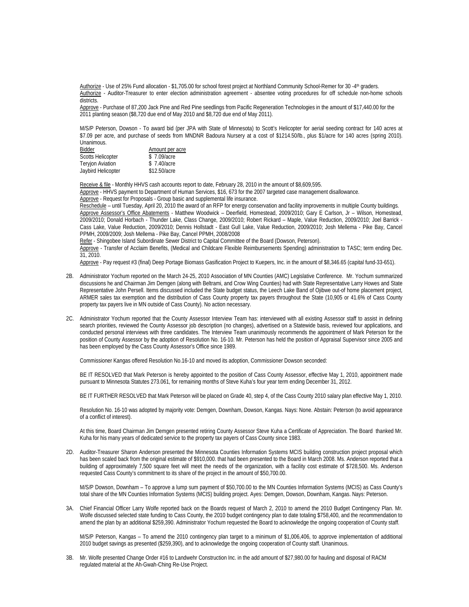Authorize - Use of 25% Fund allocation - \$1,705.00 for school forest project at Northland Community School-Remer for 30 -4th graders. Authorize - Auditor-Treasurer to enter election administration agreement - absentee voting procedures for off schedule non-home schools districts.

Approve - Purchase of 87,200 Jack Pine and Red Pine seedlings from Pacific Regeneration Technologies in the amount of \$17,440.00 for the 2011 planting season (\$8,720 due end of May 2010 and \$8,720 due end of May 2011).

M/S/P Peterson, Dowson - To award bid (per JPA with State of Minnesota) to Scott's Helicopter for aerial seeding contract for 140 acres at \$7.09 per acre, and purchase of seeds from MNDNR Badoura Nursery at a cost of \$1214.50/lb., plus \$1/acre for 140 acres (spring 2010). Unanimous.

| Bidder                   | Amount per acre |
|--------------------------|-----------------|
| <b>Scotts Helicopter</b> | \$7.09/acre     |
| <b>Teryjon Aviation</b>  | \$7.40/acre     |
| Jaybird Helicopter       | \$12.50/acre    |

Receive & file - Monthly HHVS cash accounts report to date, February 28, 2010 in the amount of \$8,609,595.

Approve - HHVS payment to Department of Human Services, \$16, 673 for the 2007 targeted case management disallowance.

Approve - Request for Proposals - Group basic and supplemental life insurance.

Reschedule - until Tuesday, April 20, 2010 the award of an RFP for energy conservation and facility improvements in multiple County buildings. Approve Assessor's Office Abatements - Matthew Woodwick - Deerfield, Homestead, 2009/2010; Gary E Carlson, Jr - Wilson, Homestead, 2009/2010; Donald Horbach - Thunder Lake, Class Change, 2009/2010; Robert Rickard – Maple, Value Reduction, 2009/2010; Joel Barrick - Cass Lake, Value Reduction, 2009/2010; Dennis Hollstadt - East Gull Lake, Value Reduction, 2009/2010; Josh Mellema - Pike Bay, Cancel PPMH, 2009/2009; Josh Mellema - Pike Bay, Cancel PPMH, 2008/2008

Refer - Shingobee Island Subordinate Sewer District to Capital Committee of the Board (Dowson, Peterson).

Approve - Transfer of Acclaim Benefits, (Medical and Childcare Flexible Reimbursements Spending) administration to TASC; term ending Dec. 31, 2010.

Approve - Pay request #3 (final) Deep Portage Biomass Gasification Project to Kuepers, Inc. in the amount of \$8,346.65 (capital fund-33-651).

- 2B. Administrator Yochum reported on the March 24-25, 2010 Association of MN Counties (AMC) Legislative Conference. Mr. Yochum summarized discussions he and Chairman Jim Demgen (along with Beltrami, and Crow Wing Counties) had with State Representative Larry Howes and State Representative John Persell. Items discussed included the State budget status, the Leech Lake Band of Ojibwe out-of home placement project, ARMER sales tax exemption and the distribution of Cass County property tax payers throughout the State (10,905 or 41.6% of Cass County property tax payers live in MN outside of Cass County). No action necessary.
- 2C. Administrator Yochum reported that the County Assessor Interview Team has: interviewed with all existing Assessor staff to assist in defining search priorities, reviewed the County Assessor job description (no changes), advertised on a Statewide basis, reviewed four applications, and conducted personal interviews with three candidates. The Interview Team unanimously recommends the appointment of Mark Peterson for the position of County Assessor by the adoption of Resolution No. 16-10. Mr. Peterson has held the position of Appraisal Supervisor since 2005 and has been employed by the Cass County Assessor's Office since 1989.

Commissioner Kangas offered Resolution No.16-10 and moved its adoption, Commissioner Dowson seconded:

BE IT RESOLVED that Mark Peterson is hereby appointed to the position of Cass County Assessor, effective May 1, 2010, appointment made pursuant to Minnesota Statutes 273.061, for remaining months of Steve Kuha's four year term ending December 31, 2012.

BE IT FURTHER RESOLVED that Mark Peterson will be placed on Grade 40, step 4, of the Cass County 2010 salary plan effective May 1, 2010.

Resolution No. 16-10 was adopted by majority vote: Demgen, Downham, Dowson, Kangas. Nays: None. Abstain: Peterson (to avoid appearance of a conflict of interest).

 At this time, Board Chairman Jim Demgen presented retiring County Assessor Steve Kuha a Certificate of Appreciation. The Board thanked Mr. Kuha for his many years of dedicated service to the property tax payers of Cass County since 1983.

2D. Auditor-Treasurer Sharon Anderson presented the Minnesota Counties Information Systems MCIS building construction project proposal which has been scaled back from the original estimate of \$910,000. that had been presented to the Board in March 2008. Ms. Anderson reported that a building of approximately 7,500 square feet will meet the needs of the organization, with a facility cost estimate of \$728,500. Ms. Anderson requested Cass County's commitment to its share of the project in the amount of \$50,700.00.

M/S/P Dowson, Downham – To approve a lump sum payment of \$50,700.00 to the MN Counties Information Systems (MCIS) as Cass County's total share of the MN Counties Information Systems (MCIS) building project. Ayes: Demgen, Dowson, Downham, Kangas. Nays: Peterson.

3A. Chief Financial Officer Larry Wolfe reported back on the Boards request of March 2, 2010 to amend the 2010 Budget Contingency Plan. Mr. Wolfe discussed selected state funding to Cass County, the 2010 budget contingency plan to date totaling \$758,400, and the recommendation to amend the plan by an additional \$259,390. Administrator Yochum requested the Board to acknowledge the ongoing cooperation of County staff.

 M/S/P Peterson, Kangas – To amend the 2010 contingency plan target to a minimum of \$1,006,406, to approve implementation of additional 2010 budget savings as presented (\$259,390), and to acknowledge the ongoing cooperation of County staff. Unanimous.

3B. Mr. Wolfe presented Change Order #16 to Landwehr Construction Inc. in the add amount of \$27,980.00 for hauling and disposal of RACM regulated material at the Ah-Gwah-Ching Re-Use Project.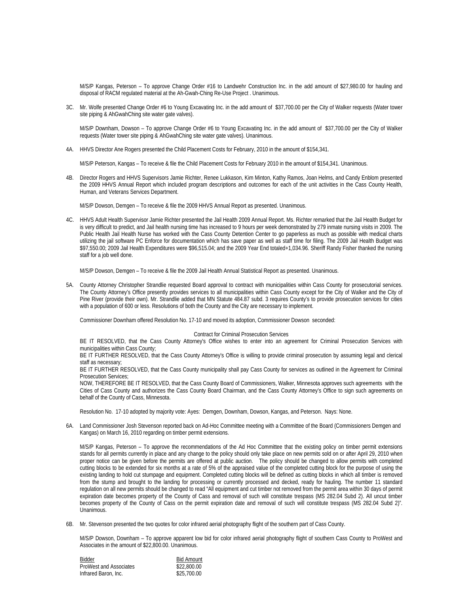M/S/P Kangas, Peterson – To approve Change Order #16 to Landwehr Construction Inc. in the add amount of \$27,980.00 for hauling and disposal of RACM regulated material at the Ah-Gwah-Ching Re-Use Project . Unanimous.

3C. Mr. Wolfe presented Change Order #6 to Young Excavating Inc. in the add amount of \$37,700.00 per the City of Walker requests (Water tower site piping & AhGwahChing site water gate valves).

 M/S/P Downham, Dowson – To approve Change Order #6 to Young Excavating Inc. in the add amount of \$37,700.00 per the City of Walker requests (Water tower site piping & AhGwahChing site water gate valves). Unanimous.

4A. HHVS Director Ane Rogers presented the Child Placement Costs for February, 2010 in the amount of \$154,341.

M/S/P Peterson, Kangas – To receive & file the Child Placement Costs for February 2010 in the amount of \$154,341. Unanimous.

4B. Director Rogers and HHVS Supervisors Jamie Richter, Renee Lukkason, Kim Minton, Kathy Ramos, Joan Helms, and Candy Enblom presented the 2009 HHVS Annual Report which included program descriptions and outcomes for each of the unit activities in the Cass County Health, Human, and Veterans Services Department.

M/S/P Dowson, Demgen – To receive & file the 2009 HHVS Annual Report as presented. Unanimous.

4C. HHVS Adult Health Supervisor Jamie Richter presented the Jail Health 2009 Annual Report. Ms. Richter remarked that the Jail Health Budget for is very difficult to predict, and Jail health nursing time has increased to 9 hours per week demonstrated by 279 inmate nursing visits in 2009. The Public Health Jail Health Nurse has worked with the Cass County Detention Center to go paperless as much as possible with medical charts utilizing the jail software PC Enforce for documentation which has save paper as well as staff time for filing. The 2009 Jail Health Budget was \$97,550.00; 2009 Jail Health Expenditures were \$96,515.04; and the 2009 Year End totaled+1,034.96. Sheriff Randy Fisher thanked the nursing staff for a job well done.

M/S/P Dowson, Demgen – To receive & file the 2009 Jail Health Annual Statistical Report as presented. Unanimous.

5A. County Attorney Christopher Strandlie requested Board approval to contract with municipalities within Cass County for prosecutorial services. The County Attorney's Office presently provides services to all municipalities within Cass County except for the City of Walker and the City of Pine River (provide their own). Mr. Strandlie added that MN Statute 484.87 subd. 3 requires County's to provide prosecution services for cities with a population of 600 or less. Resolutions of both the County and the City are necessary to implement.

Commissioner Downham offered Resolution No. 17-10 and moved its adoption, Commissioner Dowson seconded:

Contract for Criminal Prosecution Services

BE IT RESOLVED, that the Cass County Attorney's Office wishes to enter into an agreement for Criminal Prosecution Services with municipalities within Cass County;

BE IT FURTHER RESOLVED, that the Cass County Attorney's Office is willing to provide criminal prosecution by assuming legal and clerical staff as necessary;

BE IT FURTHER RESOLVED, that the Cass County municipality shall pay Cass County for services as outlined in the Agreement for Criminal Prosecution Services;

NOW, THEREFORE BE IT RESOLVED, that the Cass County Board of Commissioners, Walker, Minnesota approves such agreements with the Cities of Cass County and authorizes the Cass County Board Chairman, and the Cass County Attorney's Office to sign such agreements on behalf of the County of Cass, Minnesota.

Resolution No. 17-10 adopted by majority vote: Ayes: Demgen, Downham, Dowson, Kangas, and Peterson. Nays: None.

6A. Land Commissioner Josh Stevenson reported back on Ad-Hoc Committee meeting with a Committee of the Board (Commissioners Demgen and Kangas) on March 16, 2010 regarding on timber permit extensions.

M/S/P Kangas, Peterson – To approve the recommendations of the Ad Hoc Committee that the existing policy on timber permit extensions stands for all permits currently in place and any change to the policy should only take place on new permits sold on or after April 29, 2010 when proper notice can be given before the permits are offered at public auction. The policy should be changed to allow permits with completed cutting blocks to be extended for six months at a rate of 5% of the appraised value of the completed cutting block for the purpose of using the existing landing to hold cut stumpage and equipment. Completed cutting blocks will be defined as cutting blocks in which all timber is removed from the stump and brought to the landing for processing or currently processed and decked, ready for hauling. The number 11 standard regulation on all new permits should be changed to read "All equipment and cut timber not removed from the permit area within 30 days of permit expiration date becomes property of the County of Cass and removal of such will constitute trespass (MS 282.04 Subd 2). All uncut timber becomes property of the County of Cass on the permit expiration date and removal of such will constitute trespass (MS 282.04 Subd 2)". Unanimous.

6B. Mr. Stevenson presented the two quotes for color infrared aerial photography flight of the southern part of Cass County.

M/S/P Dowson, Downham – To approve apparent low bid for color infrared aerial photography flight of southern Cass County to ProWest and Associates in the amount of \$22,800.00. Unanimous.

| Bidder                 | <b>Bid Amount</b> |
|------------------------|-------------------|
| ProWest and Associates | \$22,800.00       |
| Infrared Baron, Inc.   | \$25,700.00       |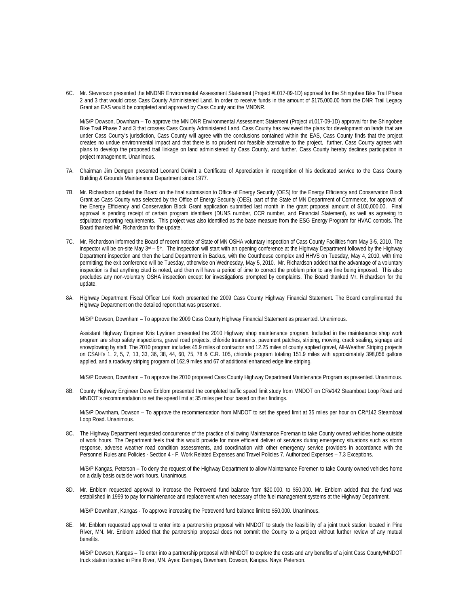6C. Mr. Stevenson presented the MNDNR Environmental Assessment Statement (Project #L017-09-1D) approval for the Shingobee Bike Trail Phase 2 and 3 that would cross Cass County Administered Land. In order to receive funds in the amount of \$175,000.00 from the DNR Trail Legacy Grant an EAS would be completed and approved by Cass County and the MNDNR.

M/S/P Dowson, Downham – To approve the MN DNR Environmental Assessment Statement (Project #L017-09-1D) approval for the Shingobee Bike Trail Phase 2 and 3 that crosses Cass County Administered Land, Cass County has reviewed the plans for development on lands that are under Cass County's jurisdiction, Cass County will agree with the conclusions contained within the EAS, Cass County finds that the project creates no undue environmental impact and that there is no prudent nor feasible alternative to the project, further, Cass County agrees with plans to develop the proposed trail linkage on land administered by Cass County, and further, Cass County hereby declines participation in project management. Unanimous.

- 7A. Chairman Jim Demgen presented Leonard DeWitt a Certificate of Appreciation in recognition of his dedicated service to the Cass County Building & Grounds Maintenance Department since 1977.
- 7B. Mr. Richardson updated the Board on the final submission to Office of Energy Security (OES) for the Energy Efficiency and Conservation Block Grant as Cass County was selected by the Office of Energy Security (OES), part of the State of MN Department of Commerce, for approval of the Energy Efficiency and Conservation Block Grant application submitted last month in the grant proposal amount of \$100,000.00. Final approval is pending receipt of certain program identifiers (DUNS number, CCR number, and Financial Statement), as well as agreeing to stipulated reporting requirements. This project was also identified as the base measure from the ESG Energy Program for HVAC controls. The Board thanked Mr. Richardson for the update.
- 7C. Mr. Richardson informed the Board of recent notice of State of MN OSHA voluntary inspection of Cass County Facilities from May 3-5, 2010. The inspector will be on-site May 3<sup>rd</sup> – 5<sup>th</sup>. The inspection will start with an opening conference at the Highway Department followed by the Highway Department inspection and then the Land Department in Backus, with the Courthouse complex and HHVS on Tuesday, May 4, 2010, with time permitting; the exit conference will be Tuesday, otherwise on Wednesday, May 5, 2010. Mr. Richardson added that the advantage of a voluntary inspection is that anything cited is noted, and then will have a period of time to correct the problem prior to any fine being imposed. This also precludes any non-voluntary OSHA inspection except for investigations prompted by complaints. The Board thanked Mr. Richardson for the update.
- 8A. Highway Department Fiscal Officer Lori Koch presented the 2009 Cass County Highway Financial Statement. The Board complimented the Highway Department on the detailed report that was presented.

M/S/P Dowson, Downham – To approve the 2009 Cass County Highway Financial Statement as presented. Unanimous.

Assistant Highway Engineer Kris Lyytinen presented the 2010 Highway shop maintenance program. Included in the maintenance shop work program are shop safety inspections, gravel road projects, chloride treatments, pavement patches, striping, mowing, crack sealing, signage and snowplowing by staff. The 2010 program includes 45.9 miles of contractor and 12.25 miles of county applied gravel, All-Weather Striping projects on CSAH's 1, 2, 5, 7, 13, 33, 36, 38, 44, 60, 75, 78 & C.R. 105, chloride program totaling 151.9 miles with approximately 398,056 gallons applied, and a roadway striping program of 162.9 miles and 67 of additional enhanced edge line striping.

M/S/P Dowson, Downham – To approve the 2010 proposed Cass County Highway Department Maintenance Program as presented. Unanimous.

8B. County Highway Engineer Dave Enblom presented the completed traffic speed limit study from MNDOT on CR#142 Steamboat Loop Road and MNDOT's recommendation to set the speed limit at 35 miles per hour based on their findings.

M/S/P Downham, Dowson – To approve the recommendation from MNDOT to set the speed limit at 35 miles per hour on CR#142 Steamboat Loop Road. Unanimous.

8C. The Highway Department requested concurrence of the practice of allowing Maintenance Foreman to take County owned vehicles home outside of work hours. The Department feels that this would provide for more efficient deliver of services during emergency situations such as storm response, adverse weather road condition assessments, and coordination with other emergency service providers in accordance with the Personnel Rules and Policies - Section 4 - F. Work Related Expenses and Travel Policies 7. Authorized Expenses – 7.3 Exceptions.

M/S/P Kangas, Peterson – To deny the request of the Highway Department to allow Maintenance Foremen to take County owned vehicles home on a daily basis outside work hours. Unanimous.

8D. Mr. Enblom requested approval to increase the Petrovend fund balance from \$20,000. to \$50,000. Mr. Enblom added that the fund was established in 1999 to pay for maintenance and replacement when necessary of the fuel management systems at the Highway Department.

M/S/P Downham, Kangas - To approve increasing the Petrovend fund balance limit to \$50,000. Unanimous.

8E. Mr. Enblom requested approval to enter into a partnership proposal with MNDOT to study the feasibility of a joint truck station located in Pine River, MN. Mr. Enblom added that the partnership proposal does not commit the County to a project without further review of any mutual benefits.

M/S/P Dowson, Kangas – To enter into a partnership proposal with MNDOT to explore the costs and any benefits of a joint Cass County/MNDOT truck station located in Pine River, MN. Ayes: Demgen, Downham, Dowson, Kangas. Nays: Peterson.